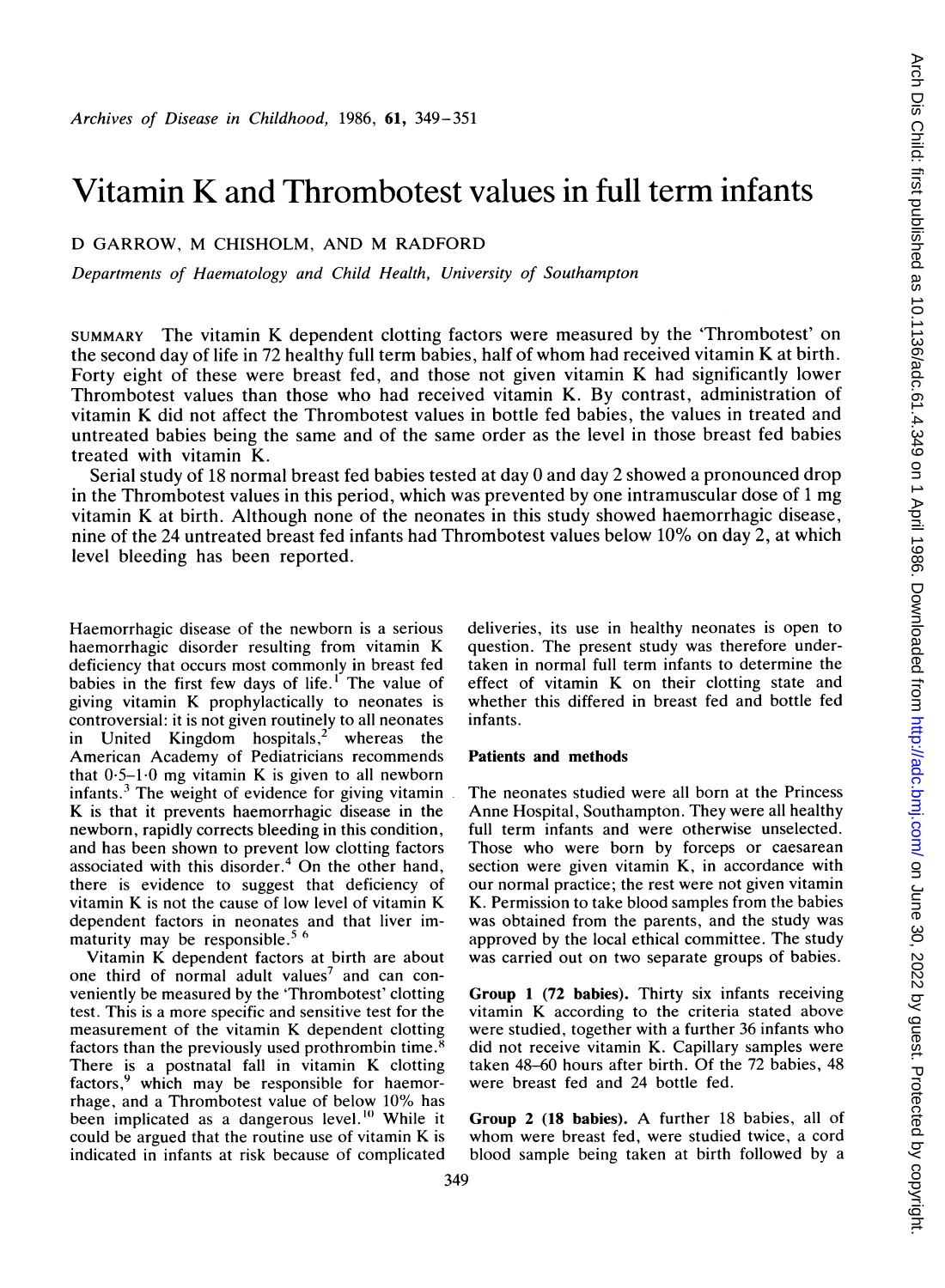# Vitamin K and Thrombotest values in full term infants

## D GARROW, M CHISHOLM, AND M RADFORD

Departments of Haematology and Child Health, University of Southampton

SUMMARY The vitamin K dependent clotting factors were measured by the 'Thrombotest' on the second day of life in <sup>72</sup> healthy full term babies, half of whom had received vitamin K at birth. Forty eight of these were breast fed, and those not given vitamin K had significantly lower Thrombotest values than those who had received vitamin K. By contrast, administration of vitamin K did not affect the Thrombotest values in bottle fed babies, the values in treated and untreated babies being the same and of the same order as the level in those breast fed babies treated with vitamin K.

Serial study of 18 normal breast fed babies tested at day 0 and day 2 showed a pronounced drop in the Thrombotest values in this period, which was prevented by one intramuscular dose of <sup>1</sup> mg vitamin K at birth. Although none of the neonates in this study showed haemorrhagic disease, nine of the 24 untreated breast fed infants had Thrombotest values below 10% on day 2, at which level bleeding has been reported.

Haemorrhagic disease of the newborn is a serious haemorrhagic disorder resulting from vitamin K deficiency that occurs most commonly in breast fed babies in the first few days of life.<sup>1</sup> The value of giving vitamin K prophylactically to neonates is controversial: it is not given routinely to all neonates in United Kingdom hospitals,<sup>2</sup> whereas the American Academy of Pediatricians recommends that  $0.5-1.0$  mg vitamin K is given to all newborn infants. $3$  The weight of evidence for giving vitamin K is that it prevents haemorrhagic disease in the newborn, rapidly corrects bleeding in this condition, and has been shown to prevent low clotting factors associated with this disorder. $4$  On the other hand, there is evidence to suggest that deficiency of vitamin K is not the cause of low level of vitamin K dependent factors in neonates and that liver immaturity may be responsible.<sup>5 6</sup>

Vitamin K dependent factors at birth are about one third of normal adult values<sup>7</sup> and can conveniently be measured by the 'Thrombotest' clotting test. This is a more specific and sensitive test for the measurement of the vitamin K dependent clotting factors than the previously used prothrombin time.<sup>8</sup> There is a postnatal fall in vitamin K clotting factors,<sup>9</sup> which may be responsible for haemorrhage, and a Thrombotest value of below 10% has been implicated as a dangerous level.<sup>10</sup> While it could be argued that the routine use of vitamin K is indicated in infants at risk because of complicated

deliveries, its use in healthy neonates is open to question. The present study was therefore undertaken in normal full term infants to determine the effect of vitamin K on their clotting state and whether this differed in breast fed and bottle fed infants.

### Patients and methods

The neonates studied were all born at the Princess Anne Hospital, Southampton. They were all healthy full term infants and were otherwise unselected. Those who were born by forceps or caesarean section were given vitamin K, in accordance with our normal practice; the rest were not given vitamin K. Permission to take blood samples from the babies was obtained from the parents, and the study was approved by the local ethical committee. The study was carried out on two separate groups of babies.

Group <sup>1</sup> (72 babies). Thirty six infants receiving vitamin K according to the criteria stated above were studied, together with a further 36 infants who did not receive vitamin K. Capillary samples were taken 48-60 hours after birth. Of the 72 babies, 48 were breast fed and 24 bottle fed.

Group <sup>2</sup> (18 babies). A further <sup>18</sup> babies, all of whom were breast fed, were studied twice, <sup>a</sup> cord blood sample being taken at birth followed by a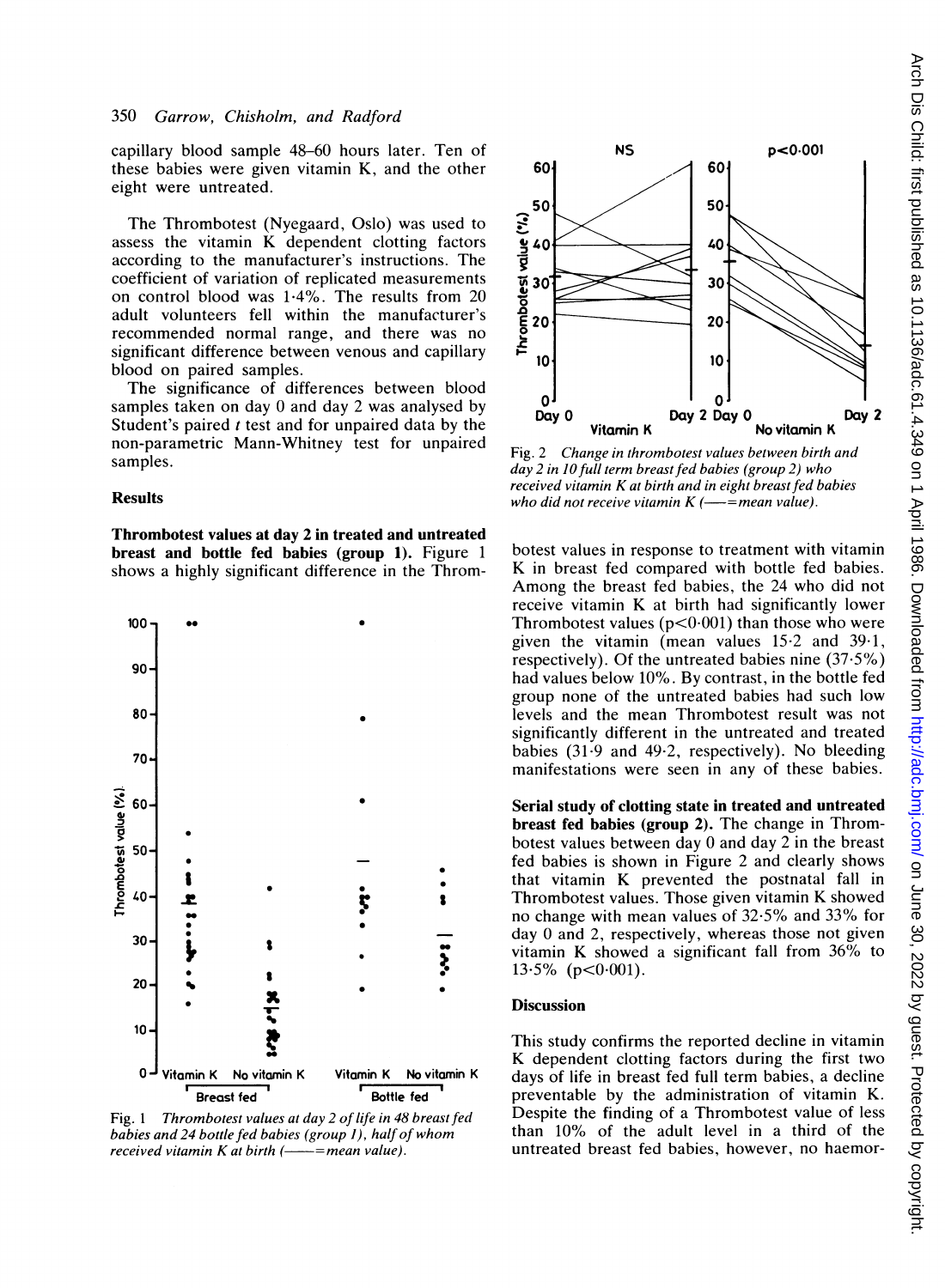capillary blood sample 48-60 hours later. Ten of these babies were given vitamin K, and the other eight were untreated.

The Thrombotest (Nyegaard, Oslo) was used to assess the vitamin K dependent clotting factors according to the manufacturer's instructions. The coefficient of variation of replicated measurements on control blood was 1-4%. The results from 20 adult volunteers fell within the manufacturer's recommended normal range, and there was no significant difference between venous and capillary blood on paired samples.

The significance of differences between blood samples taken on day 0 and day 2 was analysed by Student's paired <sup>t</sup> test and for unpaired data by the non-parametric Mann-Whitney test for unpaired samples.

### Results

Thrombotest values at day 2 in treated and untreated breast and bottle fed babies (group 1). Figure <sup>1</sup> shows a highly significant difference in the Throm-



Fig. 1 Thrombotest values at day 2 of life in 48 breast fed babies and 24 bottle fed babies (group 1), half of whom received vitamin  $K$  at birth  $($ ——=mean value).



Fig. 2 Change in thrombotest values between birth and day 2 in IO full term breast fed babies (group 2) who received vitamin K at birth and in eight breast fed babies who did not receive vitamin  $K$  (-- = mean value).

botest values in response to treatment with vitamin K in breast fed compared with bottle fed babies. Among the breast fed babies, the 24 who did not receive vitamin K at birth had significantly lower Thrombotest values ( $p < 0.001$ ) than those who were given the vitamin (mean values 15-2 and 39-1, respectively). Of the untreated babies nine (37-5%) had values below 10%. By contrast, in the bottle fed group none of the untreated babies had such low levels and the mean Thrombotest result was not significantly different in the untreated and treated babies (31.9 and 49-2, respectively). No bleeding manifestations were seen in any of these babies.

Serial study of clotting state in treated and untreated breast fed babies (group 2). The change in Thrombotest values between day 0 and day 2 in the breast fed babies is shown in Figure 2 and clearly shows that vitamin K prevented the postnatal fall in Thrombotest values. Those given vitamin K showed no change with mean values of 32-5% and 33% for day 0 and 2, respectively, whereas those not given vitamin K showed <sup>a</sup> significant fall from 36% to  $13.5\%$  (p<0.001).

#### Discussion

This study confirms the reported decline in vitamin K dependent clotting factors during the first two days of life in breast fed full term babies, a decline preventable by the administration of vitamin K. Despite the finding of a Thrombotest value of less than 10% of the adult level in a third of the untreated breast fed babies, however, no haemor